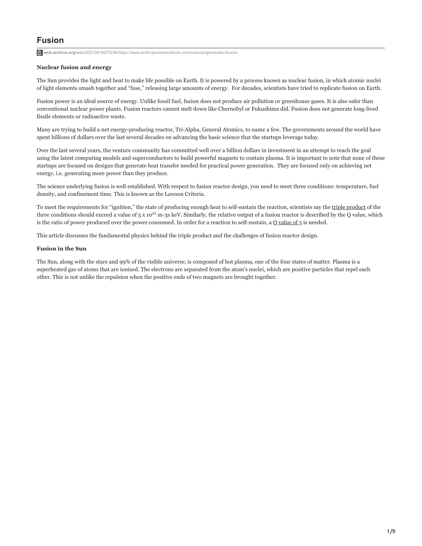# **Fusion**

**web.archive.org**[/web/20210416075236/https://www.anthropoceneinstitute.com/science/generation/fusion](https://web.archive.org/web/20210416075236/https://www.anthropoceneinstitute.com/science/generation/fusion/)

# **Nuclear fusion and energy**

The Sun provides the light and heat to make life possible on Earth. It is powered by a process known as nuclear fusion, in which atomic nuclei of light elements smash together and "fuse," releasing large amounts of energy. For decades, scientists have tried to replicate fusion on Earth.

Fusion power is an ideal source of energy. Unlike fossil fuel, fusion does not produce air pollution or greenhouse gases. It is also safer than conventional nuclear power plants. Fusion reactors cannot melt down like Chernobyl or Fukushima did. Fusion does not generate long-lived fissile elements or radioactive waste.

Many are trying to build a net energy-producing reactor, Tri-Alpha, General Atomics, to name a few. The governments around the world have spent billions of dollars over the last several decades on advancing the basic science that the startups leverage today.

Over the last several years, the venture community has committed well over a billion dollars in investment in an attempt to reach the goal using the latest computing models and superconductors to build powerful magnets to contain plasma. It is important to note that none of these startups are focused on designs that generate heat transfer needed for practical power generation. They are focused only on achieving net energy, i.e. generating more power than they produce.

The science underlying fusion is well established. With respect to fusion reactor design, you need to meet three conditions: temperature, fuel density, and confinement time. This is known as the Lawson Criteria.

To meet the requirements for "ignition," the state of producing enough heat to self-sustain the reaction, scientists say the [triple product](https://web.archive.org/web/20210416075236/https://www.euro-fusion.org/2013/02/triple-product/) of the three conditions should exceed a value of  $5 \times 10^{21}$  m-3s keV. Similarly, the relative output of a fusion reactor is described by the Q value, which is the ratio of power produced over the power consumed. In order for a reaction to self-sustain, a [Q value of 5](https://web.archive.org/web/20210416075236/http://nstx.pppl.gov/DragNDrop/Five_Year_Plans/2009_2013/NSTX_Research_Plan_2009-2013.pdf) is needed.

This article discusses the fundamental physics behind the triple product and the challenges of fusion reactor design.

# **Fusion in the Sun**

The Sun, along with the stars and 99% of the visible universe, is composed of hot plasma, one of the four states of matter. Plasma is a superheated gas of atoms that are ionized. The electrons are separated from the atom's nuclei, which are positive particles that repel each other. This is not unlike the repulsion when the positive ends of two magnets are brought together.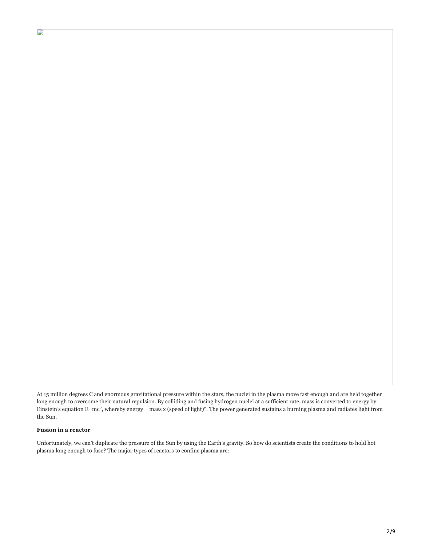At 15 million degrees C and enormous gravitational pressure within the stars, the nuclei in the plasma move fast enough and are held together long enough to overcome their natural repulsion. By colliding and fusing hydrogen nuclei at a sufficient rate, mass is converted to energy by Einstein's equation  $E=mc^2$ , whereby energy = mass x (speed of light)<sup>2</sup>. The power generated sustains a burning plasma and radiates light from the Sun.

## **Fusion in a reactor**

 $\mathbf{D}$ 

Unfortunately, we can't duplicate the pressure of the Sun by using the Earth's gravity. So how do scientists create the conditions to hold hot plasma long enough to fuse? The major types of reactors to confine plasma are: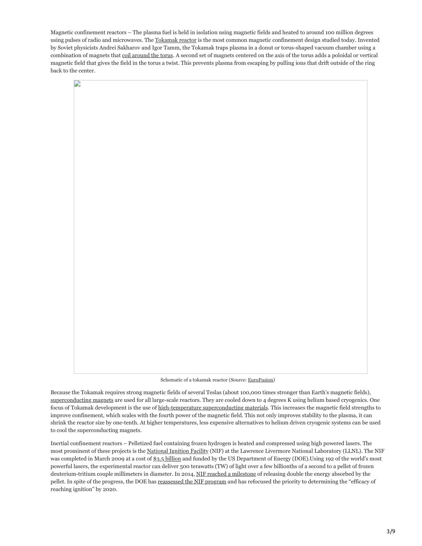Magnetic confinement reactors – The plasma fuel is held in isolation using magnetic fields and heated to around 100 million degrees using pulses of radio and microwaves. The [Tokamak reactor](https://web.archive.org/web/20210416075236/http://fire.pppl.gov/nf_50th_4_Ikeda.pdf) is the most common magnetic confinement design studied today. Invented by Soviet physicists Andrei Sakharov and Igor Tamm, the Tokamak traps plasma in a donut or torus-shaped vacuum chamber using a combination of magnets that [coil around the torus](https://web.archive.org/web/20210416075236/https://www.euro-fusion.org/tokamaks/). A second set of magnets centered on the axis of the torus adds a poloidal or vertical magnetic field that gives the field in the torus a twist. This prevents plasma from escaping by pulling ions that drift outside of the ring back to the center.



Schematic of a tokamak reactor (Source: [EuroFusion\)](https://web.archive.org/web/20210416075236/https://www.euro-fusion.org/2011/09/tokamak-principle/)

Because the Tokamak requires strong magnetic fields of several Teslas (about 100,000 times stronger than Earth's magnetic fields), [superconducting magnets](https://web.archive.org/web/20210416075236/https://www.iter.org/mach/magnets) are used for all large-scale reactors. They are cooled down to 4 degrees K using helium based cryogenics. One focus of Tokamak development is the use of [high-temperature superconducting materials.](https://web.archive.org/web/20210416075236/http://iopscience.iop.org/article/10.1088/1741-4326/aa7bab) This increases the magnetic field strengths to improve confinement, which scales with the fourth power of the magnetic field. This not only improves stability to the plasma, it can shrink the reactor size by one-tenth. At higher temperatures, less expensive alternatives to helium driven cryogenic systems can be used to cool the superconducting magnets.

Inertial confinement reactors – Pelletized fuel containing frozen hydrogen is heated and compressed using high powered lasers. The most prominent of these projects is the [National Ignition Facility](https://web.archive.org/web/20210416075236/https://lasers.llnl.gov/) (NIF) at the Lawrence Livermore National Laboratory (LLNL). The NIF was completed in March 2009 at a cost of [\\$3.5 billion](https://web.archive.org/web/20210416075236/http://www.sciencemag.org/news/2016/06/giant-us-fusion-laser-might-never-achieve-goal-report-concludes) and funded by the US Department of Energy (DOE). Using 192 of the world's most powerful lasers, the experimental reactor can deliver 500 terawatts (TW) of light over a few billionths of a second to a pellet of frozen deuterium-tritium couple millimeters in diameter. In 2014, [NIF reached a milestone](https://web.archive.org/web/20210416075236/https://www.nature.com/articles/nature13008.epdf?referrer_access_token=x19Z1HfzecsZ4Ny9Ud56J9RgN0jAjWel9jnR3ZoTv0MOnf28PRfaHV2UNITTh86a8jq-KFVOrAwdTzSe-hzePEZI4UAZyqxe-iVZvIMGPj5U2ZzjQujQQ2Klv9OG0gwm55XAgIsVW_M_vI34Jgv-_RFF40CR-xI84rv5oSZCRwlf6-Oa_feplhNS6OwCtk8CCfdG1rsk-517CWLHZzSM2cBfnUwpdzPjDzStVoXGh7oBUNzNI5sS680cwgrlynWUK6yJ1hhRr1JHSkBfXJjA0Q==&tracking_referrer=www.nature.com) of releasing double the energy absorbed by the pellet. In spite of the progress, the DOE has [reassessed the NIF program](https://web.archive.org/web/20210416075236/http://the%20efficacy%20of%20reaching%20ignition%20on%20NIF.%E2%80%9D/) and has refocused the priority to determining the "efficacy of reaching ignition" by 2020.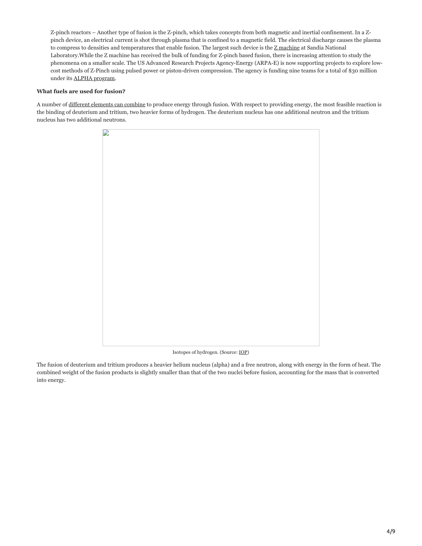Z-pinch reactors – Another type of fusion is the Z-pinch, which takes concepts from both magnetic and inertial confinement. In a Zpinch device, an electrical current is shot through plasma that is confined to a magnetic field. The electrical discharge causes the plasma to compress to densities and temperatures that enable fusion. The largest such device is the  $Z$  machine at Sandia National Laboratory.While the Z machine has received the bulk of funding for Z-pinch based fusion, there is increasing attention to study the phenomena on a smaller scale. The US Advanced Research Projects Agency-Energy (ARPA-E) is now supporting projects to explore lowcost methods of Z-Pinch using pulsed power or piston-driven compression. The agency is funding nine teams for a total of \$30 million under its [ALPHA program.](https://web.archive.org/web/20210416075236/https://arpa-e.energy.gov/sites/default/files/documents/files/ALPHA%20Project%20Descriptions_FINAL.pdf)

# **What fuels are used for fusion?**

A number of [different elements can combine](https://web.archive.org/web/20210416075236/https://ehabich.info/singularity/helium3/FusionFuelCycles.jpg) to produce energy through fusion. With respect to providing energy, the most feasible reaction is the binding of deuterium and tritium, two heavier forms of hydrogen. The deuterium nucleus has one additional neutron and the tritium nucleus has two additional neutrons.



Isotopes of hydrogen. (Source: [IOP\)](https://web.archive.org/web/20210416075236/https://www.iop.org/publications/iop/2008/file_38224.pdf)

The fusion of deuterium and tritium produces a heavier helium nucleus (alpha) and a free neutron, along with energy in the form of heat. The combined weight of the fusion products is slightly smaller than that of the two nuclei before fusion, accounting for the mass that is converted into energy.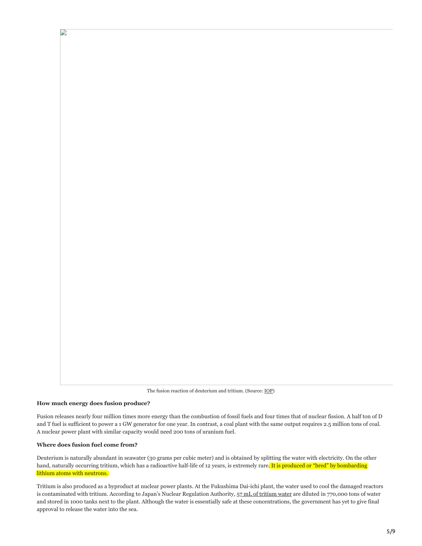The fusion reaction of deuterium and tritium. (Source: [IOP\)](https://web.archive.org/web/20210416075236/https://www.iop.org/publications/iop/2008/file_38224.pdf)

#### **How much energy does fusion produce?**

D

Fusion releases nearly four million times more energy than the combustion of fossil fuels and four times that of nuclear fission. A half ton of D and T fuel is sufficient to power a 1 GW generator for one year. In contrast, a coal plant with the same output requires 2.5 million tons of coal. A nuclear power plant with similar capacity would need 200 tons of uranium fuel.

## **Where does fusion fuel come from?**

Deuterium is naturally abundant in seawater (30 grams per cubic meter) and is obtained by splitting the water with electricity. On the other hand, naturally occurring tritium, which has a radioactive half-life of 12 years, is extremely rare. It is produced or "bred" by bombarding lithium atoms with neutrons.

Tritium is also produced as a byproduct at nuclear power plants. At the Fukushima Dai-ichi plant, the water used to cool the damaged reactors is contaminated with tritium. According to Japan's Nuclear Regulation Authority, [57 mL of tritium water](https://web.archive.org/web/20210416075236/http://www.nsr.go.jp/data/000145530.pdf) are diluted in 770,000 tons of water and stored in 1000 tanks next to the plant. Although the water is essentially safe at these concentrations, the government has yet to give final approval to release the water into the sea.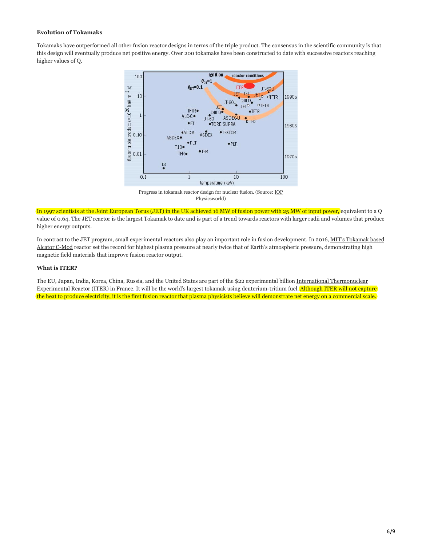## **Evolution of Tokamaks**

Tokamaks have outperformed all other fusion reactor designs in terms of the triple product. The consensus in the scientific community is that this design will eventually produce net positive energy. Over 200 tokamaks have been constructed to date with successive reactors reaching higher values of Q.



Progress in tokamak react[or design for nuclear fusion. \(Source: IOP](https://web.archive.org/web/20210416075236/https://physicsworld.com/a/fusion-the-way-ahead/) Physicsworld)

In 1997 scientists at the Joint European Torus (JET) in the UK achieved 16 MW of fusion power with 25 MW of input power, equivalent to a Q value of 0.64. The JET reactor is the largest Tokamak to date and is part of a trend towards reactors with larger radii and volumes that produce higher energy outputs.

[In contrast to the JET program, small experimental reactors also play an important role in fusion development. In 2016, MIT's Tokamak based](https://web.archive.org/web/20210416075236/http://news.mit.edu/2016/alcator-c-mod-tokamak-nuclear-fusion-world-record-1014) Alcator C-Mod reactor set the record for highest plasma pressure at nearly twice that of Earth's atmospheric pressure, demonstrating high magnetic field materials that improve fusion reactor output.

# **What is ITER?**

The EU, Japan, India, Korea, China, Russia, and the United States are part of the \$22 experimental billion International Thermonuclear [Experimental Reactor \(ITER\) in France. It will be the world's largest tokamak using deuterium-tritium fuel. Although ITER will not capt](https://web.archive.org/web/20210416075236/https://www.iter.org/)ure the heat to produce electricity, it is the first fusion reactor that plasma physicists believe will demonstrate net energy on a commercial scale.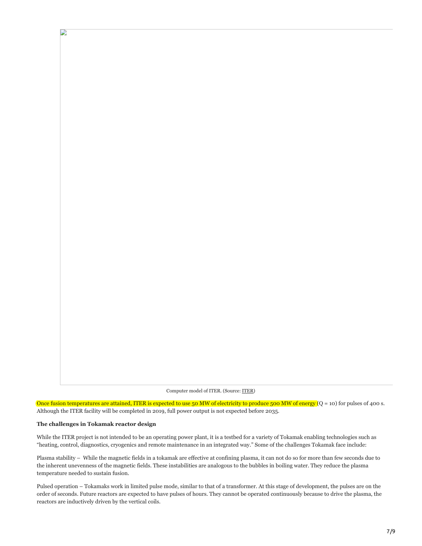Computer model of ITER. (Source: [ITER\)](https://web.archive.org/web/20210416075236/https://www.iter.org/proj/inafewlines)

Once fusion temperatures are attained, ITER is expected to use 50 MW of electricity to produce 500 MW of energy  $(Q = 10)$  for pulses of 400 s. Although the ITER facility will be completed in 2019, full power output is not expected before 2035.

## **The challenges in Tokamak reactor design**

D

While the ITER project is not intended to be an operating power plant, it is a testbed for a variety of Tokamak enabling technologies such as "heating, control, diagnostics, cryogenics and remote maintenance in an integrated way." Some of the challenges Tokamak face include:

Plasma stability – While the magnetic fields in a tokamak are effective at confining plasma, it can not do so for more than few seconds due to the inherent unevenness of the magnetic fields. These instabilities are analogous to the bubbles in boiling water. They reduce the plasma temperature needed to sustain fusion.

Pulsed operation – Tokamaks work in limited pulse mode, similar to that of a transformer. At this stage of development, the pulses are on the order of seconds. Future reactors are expected to have pulses of hours. They cannot be operated continuously because to drive the plasma, the reactors are inductively driven by the vertical coils.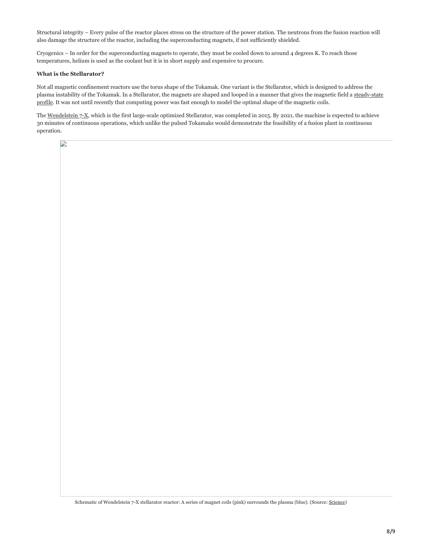Structural integrity – Every pulse of the reactor places stress on the structure of the power station. The neutrons from the fusion reaction will also damage the structure of the reactor, including the superconducting magnets, if not sufficiently shielded.

Cryogenics – In order for the superconducting magnets to operate, they must be cooled down to around 4 degrees K. To reach those temperatures, helium is used as the coolant but it is in short supply and expensive to procure.

## **What is the Stellarator?**

D

Not all magnetic confinement reactors use the torus shape of the Tokamak. One variant is the Stellarator, which is designed to address the [plasma instability of the Tokamak. In a Stellarator, the magnets are shaped and looped in a manner that gives the magnetic field a steady-state](https://web.archive.org/web/20210416075236/http://www.sciencedirect.com/science/article/pii/S2468080X16300322) profile. It was not until recently that computing power was fast enough to model the optimal shape of the magnetic coils.

The [Wendelstein 7-X,](https://web.archive.org/web/20210416075236/http://www.sciencemag.org/news/2015/10/bizarre-reactor-might-save-nuclear-fusion) which is the first large-scale optimized Stellarator, was completed in 2015. By 2021, the machine is expected to achieve 30 minutes of continuous operations, which unlike the pulsed Tokamaks would demonstrate the feasibility of a fusion plant in continuous operation.